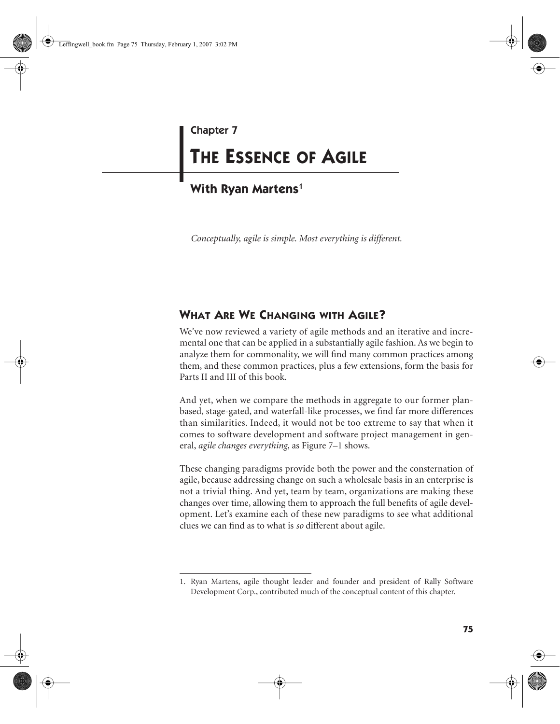## Chapter 7

# **THE ESSENCE OF AGILE**

# **With Ryan Martens**<sup>1</sup>

*Conceptually, agile is simple. Most everything is different.*

# **WHAT ARE WE CHANGING WITH AGILE?**

We've now reviewed a variety of agile methods and an iterative and incremental one that can be applied in a substantially agile fashion. As we begin to analyze them for commonality, we will find many common practices among them, and these common practices, plus a few extensions, form the basis for Parts II and III of this book.

And yet, when we compare the methods in aggregate to our former planbased, stage-gated, and waterfall-like processes, we find far more differences than similarities. Indeed, it would not be too extreme to say that when it comes to software development and software project management in general, *agile changes everything*, as Figure 7–1 shows.

These changing paradigms provide both the power and the consternation of agile, because addressing change on such a wholesale basis in an enterprise is not a trivial thing. And yet, team by team, organizations are making these changes over time, allowing them to approach the full benefits of agile development. Let's examine each of these new paradigms to see what additional clues we can find as to what is *so* different about agile.

<sup>1.</sup> Ryan Martens, agile thought leader and founder and president of Rally Software Development Corp., contributed much of the conceptual content of this chapter.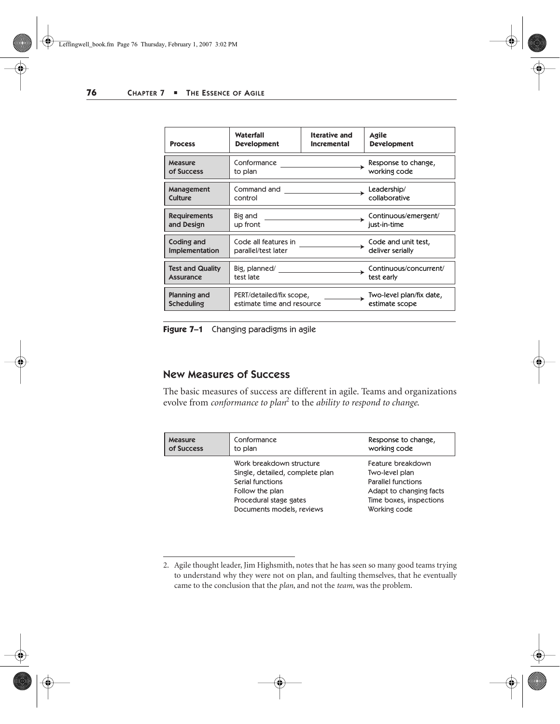| <b>Process</b>          | Waterfall                  | <b>Iterative and</b> | Agile                    |
|-------------------------|----------------------------|----------------------|--------------------------|
|                         | <b>Development</b>         | <b>Incremental</b>   | <b>Development</b>       |
| Measure                 | Conformance                |                      | Response to change,      |
| of Success              | to plan                    |                      | working code             |
| Management              | Command and                |                      | Leadership/              |
| <b>Culture</b>          | control                    |                      | collaborative            |
| <b>Requirements</b>     | Big and                    |                      | Continuous/emergent/     |
| and Design              | up front                   |                      | just-in-time             |
| Coding and              | Code all features in       |                      | Code and unit test,      |
| Implementation          | parallel/test later        |                      | deliver serially         |
| <b>Test and Quality</b> | Big, planned/              |                      | Continuous/concurrent/   |
| <b>Assurance</b>        | test late                  |                      | test early               |
| Planning and            | PERT/detailed/fix scope,   |                      | Two-level plan/fix date, |
| <b>Scheduling</b>       | estimate time and resource |                      | estimate scope           |

**Figure 7–1** Changing paradigms in agile

## New Measures of Success

The basic measures of success are different in agile. Teams and organizations evolve from *conformance to plan*<sup>2</sup> to the *ability to respond to change*.

| Measure<br>of Success | Conformance<br>to plan                                                                     | Response to change,<br>working code                                                             |
|-----------------------|--------------------------------------------------------------------------------------------|-------------------------------------------------------------------------------------------------|
|                       | Work breakdown structure<br>Single, detailed, complete plan                                | Feature breakdown<br>Two-level plan                                                             |
|                       | Serial functions<br>Follow the plan<br>Procedural stage gates<br>Documents models, reviews | <b>Parallel functions</b><br>Adapt to changing facts<br>Time boxes, inspections<br>Working code |

<sup>2.</sup> Agile thought leader, Jim Highsmith, notes that he has seen so many good teams trying to understand why they were not on plan, and faulting themselves, that he eventually came to the conclusion that the *plan*, and not the *team*, was the problem.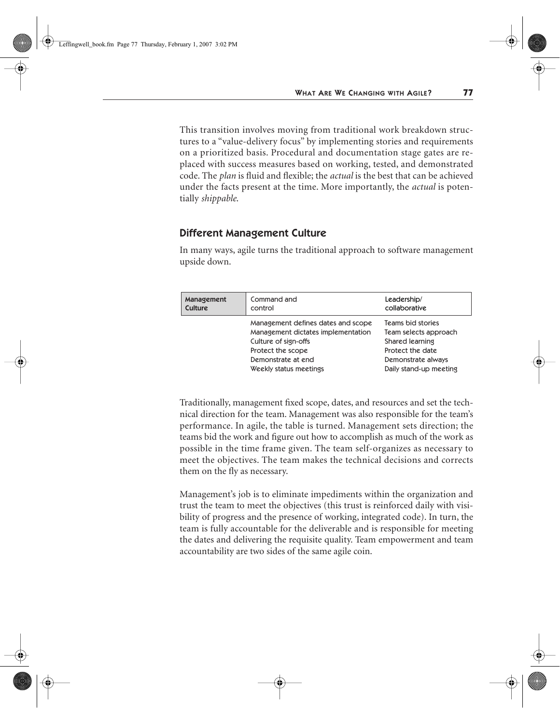This transition involves moving from traditional work breakdown structures to a "value-delivery focus" by implementing stories and requirements on a prioritized basis. Procedural and documentation stage gates are replaced with success measures based on working, tested, and demonstrated code. The *plan* is fluid and flexible; the *actual* is the best that can be achieved under the facts present at the time. More importantly, the *actual* is potentially *shippable*.

#### Different Management Culture

In many ways, agile turns the traditional approach to software management upside down.

| Management<br><b>Culture</b> | Command and<br>control                                                   | Leadership/<br>collaborative                      |
|------------------------------|--------------------------------------------------------------------------|---------------------------------------------------|
|                              | Management defines dates and scope<br>Management dictates implementation | <b>Teams bid stories</b><br>Team selects approach |
|                              | Culture of sign-offs                                                     | Shared learning                                   |
|                              | Protect the scope                                                        | Protect the date                                  |
|                              | Demonstrate at end                                                       | Demonstrate always                                |
|                              | Weekly status meetings                                                   | Daily stand-up meeting                            |

Traditionally, management fixed scope, dates, and resources and set the technical direction for the team. Management was also responsible for the team's performance. In agile, the table is turned. Management sets direction; the teams bid the work and figure out how to accomplish as much of the work as possible in the time frame given. The team self-organizes as necessary to meet the objectives. The team makes the technical decisions and corrects them on the fly as necessary.

Management's job is to eliminate impediments within the organization and trust the team to meet the objectives (this trust is reinforced daily with visibility of progress and the presence of working, integrated code). In turn, the team is fully accountable for the deliverable and is responsible for meeting the dates and delivering the requisite quality. Team empowerment and team accountability are two sides of the same agile coin.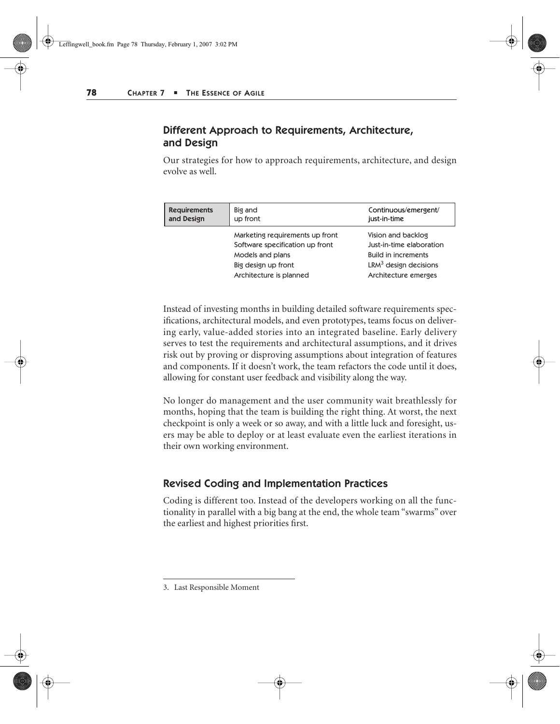## Different Approach to Requirements, Architecture, and Design

Our strategies for how to approach requirements, architecture, and design evolve as well.

| <b>Requirements</b> | Big and                                                                                                                                  | Continuous/emergent/                                                                                                                      |
|---------------------|------------------------------------------------------------------------------------------------------------------------------------------|-------------------------------------------------------------------------------------------------------------------------------------------|
| and Design          | up front                                                                                                                                 | just-in-time                                                                                                                              |
|                     | Marketing requirements up front<br>Software specification up front<br>Models and plans<br>Big design up front<br>Architecture is planned | Vision and backlog<br>Just-in-time elaboration<br><b>Build in increments</b><br>LRM <sup>3</sup> design decisions<br>Architecture emerges |

Instead of investing months in building detailed software requirements specifications, architectural models, and even prototypes, teams focus on delivering early, value-added stories into an integrated baseline. Early delivery serves to test the requirements and architectural assumptions, and it drives risk out by proving or disproving assumptions about integration of features and components. If it doesn't work, the team refactors the code until it does, allowing for constant user feedback and visibility along the way.

No longer do management and the user community wait breathlessly for months, hoping that the team is building the right thing. At worst, the next checkpoint is only a week or so away, and with a little luck and foresight, users may be able to deploy or at least evaluate even the earliest iterations in their own working environment.

#### Revised Coding and Implementation Practices

Coding is different too. Instead of the developers working on all the functionality in parallel with a big bang at the end, the whole team "swarms" over the earliest and highest priorities first.

<sup>3.</sup> Last Responsible Moment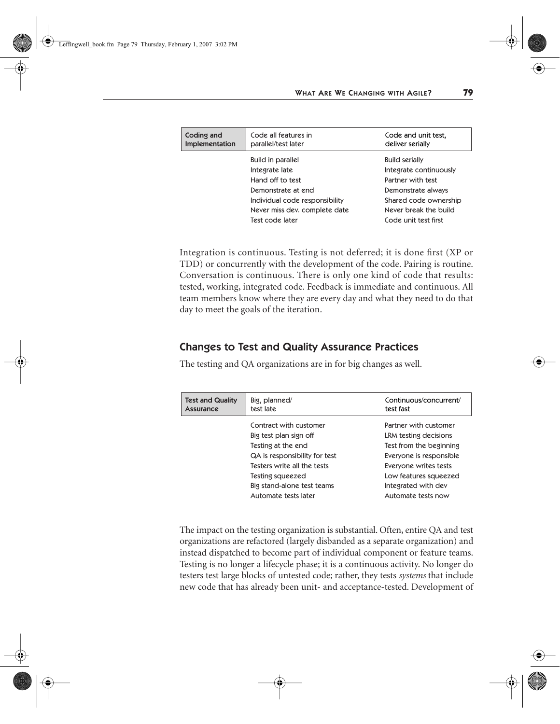| Coding and<br>Implementation | Code all features in<br>parallel/test later | Code and unit test,<br>deliver serially |
|------------------------------|---------------------------------------------|-----------------------------------------|
|                              | <b>Build in parallel</b>                    | <b>Build serially</b>                   |
|                              | Integrate late                              | Integrate continuously                  |
|                              | Hand off to test                            | Partner with test                       |
|                              | Demonstrate at end                          | Demonstrate always                      |
|                              | Individual code responsibility              | Shared code ownership                   |
|                              | Never miss dev. complete date               | Never break the build                   |
|                              | Test code later                             | Code unit test first                    |

Integration is continuous. Testing is not deferred; it is done first (XP or TDD) or concurrently with the development of the code. Pairing is routine. Conversation is continuous. There is only one kind of code that results: tested, working, integrated code. Feedback is immediate and continuous. All team members know where they are every day and what they need to do that day to meet the goals of the iteration.

#### Changes to Test and Quality Assurance Practices

The testing and QA organizations are in for big changes as well.

| <b>Test and Quality</b><br>Assurance | Big, planned/<br>test late    | Continuous/concurrent/<br>test fast |
|--------------------------------------|-------------------------------|-------------------------------------|
|                                      | Contract with customer        | Partner with customer               |
|                                      | Big test plan sign off        | LRM testing decisions               |
|                                      | Testing at the end            | Test from the beginning             |
|                                      | QA is responsibility for test | Everyone is responsible             |
|                                      | Testers write all the tests   | Everyone writes tests               |
|                                      | Testing squeezed              | Low features squeezed               |
|                                      | Big stand-alone test teams    | Integrated with dev                 |
|                                      | Automate tests later          | Automate tests now                  |

The impact on the testing organization is substantial. Often, entire QA and test organizations are refactored (largely disbanded as a separate organization) and instead dispatched to become part of individual component or feature teams. Testing is no longer a lifecycle phase; it is a continuous activity. No longer do testers test large blocks of untested code; rather, they tests *systems* that include new code that has already been unit- and acceptance-tested. Development of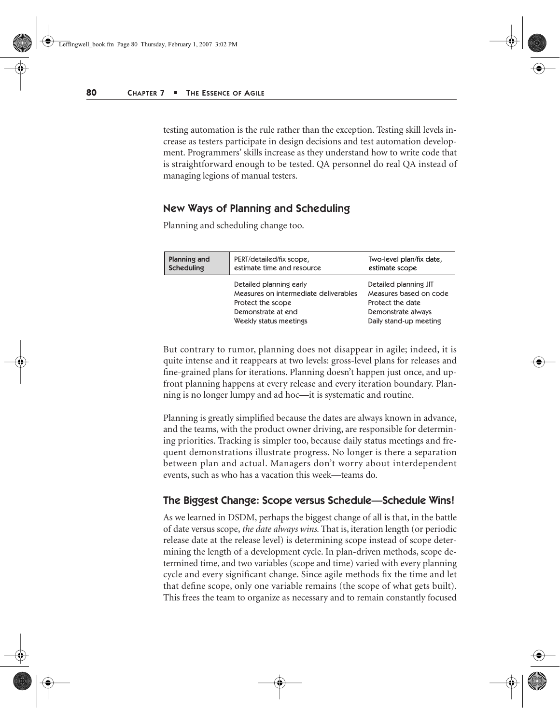testing automation is the rule rather than the exception. Testing skill levels increase as testers participate in design decisions and test automation development. Programmers' skills increase as they understand how to write code that is straightforward enough to be tested. QA personnel do real QA instead of managing legions of manual testers.

#### New Ways of Planning and Scheduling

Planning and scheduling change too.

| <b>Planning and</b> | PERT/detailed/fix scope,                                                                                                              | Two-level plan/fix date,                                                                                            |
|---------------------|---------------------------------------------------------------------------------------------------------------------------------------|---------------------------------------------------------------------------------------------------------------------|
| Scheduling          | estimate time and resource                                                                                                            | estimate scope                                                                                                      |
|                     | Detailed planning early<br>Measures on intermediate deliverables<br>Protect the scope<br>Demonstrate at end<br>Weekly status meetings | Detailed planning JIT<br>Measures based on code<br>Protect the date<br>Demonstrate always<br>Daily stand-up meeting |

But contrary to rumor, planning does not disappear in agile; indeed, it is quite intense and it reappears at two levels: gross-level plans for releases and fine-grained plans for iterations. Planning doesn't happen just once, and upfront planning happens at every release and every iteration boundary. Planning is no longer lumpy and ad hoc—it is systematic and routine.

Planning is greatly simplified because the dates are always known in advance, and the teams, with the product owner driving, are responsible for determining priorities. Tracking is simpler too, because daily status meetings and frequent demonstrations illustrate progress. No longer is there a separation between plan and actual. Managers don't worry about interdependent events, such as who has a vacation this week—teams do.

#### The Biggest Change: Scope versus Schedule—Schedule Wins!

As we learned in DSDM, perhaps the biggest change of all is that, in the battle of date versus scope, *the date always wins.* That is, iteration length (or periodic release date at the release level) is determining scope instead of scope determining the length of a development cycle. In plan-driven methods, scope determined time, and two variables (scope and time) varied with every planning cycle and every significant change. Since agile methods fix the time and let that define scope, only one variable remains (the scope of what gets built). This frees the team to organize as necessary and to remain constantly focused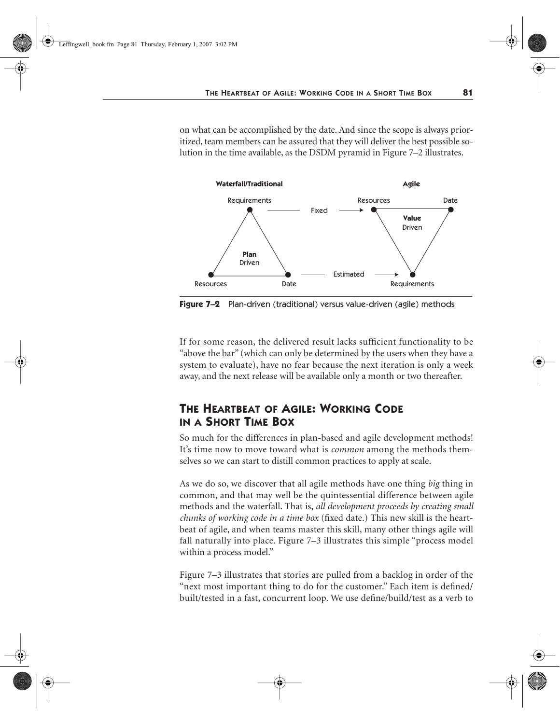on what can be accomplished by the date. And since the scope is always prioritized, team members can be assured that they will deliver the best possible solution in the time available, as the DSDM pyramid in Figure 7–2 illustrates.



**Figure 7–2** Plan-driven (traditional) versus value-driven (agile) methods

If for some reason, the delivered result lacks sufficient functionality to be "above the bar" (which can only be determined by the users when they have a system to evaluate), have no fear because the next iteration is only a week away, and the next release will be available only a month or two thereafter.

# **THE HEARTBEAT OF AGILE: WORKING CODE IN A SHORT TIME BOX**

So much for the differences in plan-based and agile development methods! It's time now to move toward what is *common* among the methods themselves so we can start to distill common practices to apply at scale.

As we do so, we discover that all agile methods have one thing *big* thing in common, and that may well be the quintessential difference between agile methods and the waterfall. That is, *all development proceeds by creating small chunks of working code in a time box* (fixed date.) This new skill is the heartbeat of agile, and when teams master this skill, many other things agile will fall naturally into place. Figure 7–3 illustrates this simple "process model within a process model."

Figure 7–3 illustrates that stories are pulled from a backlog in order of the "next most important thing to do for the customer." Each item is defined/ built/tested in a fast, concurrent loop. We use define/build/test as a verb to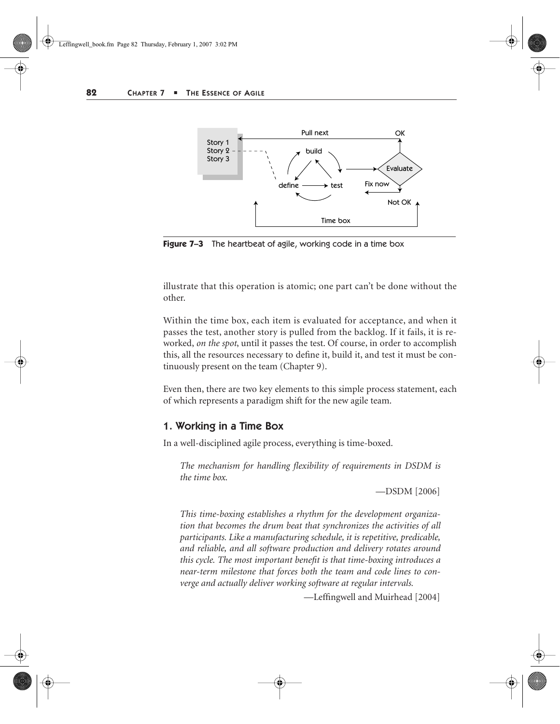

**Figure 7–3** The heartbeat of agile, working code in a time box

illustrate that this operation is atomic; one part can't be done without the other.

Within the time box, each item is evaluated for acceptance, and when it passes the test, another story is pulled from the backlog. If it fails, it is reworked, *on the spot*, until it passes the test. Of course, in order to accomplish this, all the resources necessary to define it, build it, and test it must be continuously present on the team (Chapter 9).

Even then, there are two key elements to this simple process statement, each of which represents a paradigm shift for the new agile team.

#### 1. Working in a Time Box

In a well-disciplined agile process, everything is time-boxed.

*The mechanism for handling flexibility of requirements in DSDM is the time box.* 

—DSDM [2006]

*This time-boxing establishes a rhythm for the development organization that becomes the drum beat that synchronizes the activities of all participants. Like a manufacturing schedule, it is repetitive, predicable, and reliable, and all software production and delivery rotates around this cycle. The most important benefit is that time-boxing introduces a near-term milestone that forces both the team and code lines to converge and actually deliver working software at regular intervals.* 

—Leffingwell and Muirhead [2004]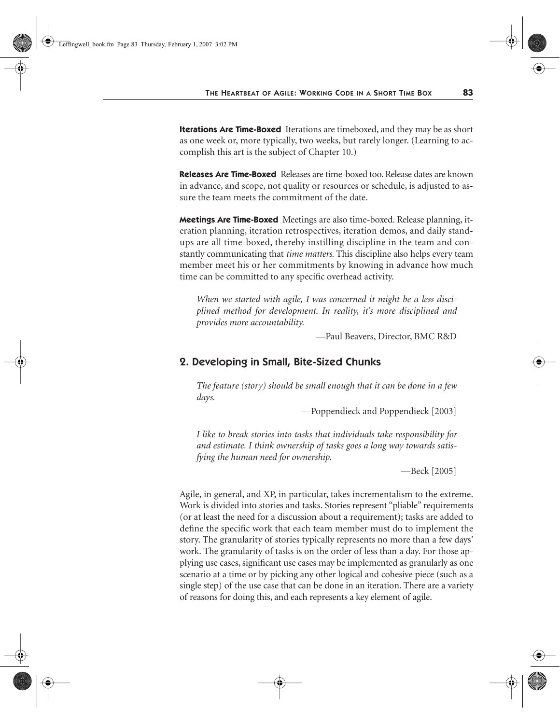**Iterations Are Time-Boxed** Iterations are timeboxed, and they may be as short as one week or, more typically, two weeks, but rarely longer. (Learning to accomplish this art is the subject of Chapter 10.)

**Releases Are Time-Boxed** Releases are time-boxed too. Release dates are known in advance, and scope, not quality or resources or schedule, is adjusted to assure the team meets the commitment of the date.

**Meetings Are Time-Boxed** Meetings are also time-boxed. Release planning, iteration planning, iteration retrospectives, iteration demos, and daily standups are all time-boxed, thereby instilling discipline in the team and constantly communicating that *time matters*. This discipline also helps every team member meet his or her commitments by knowing in advance how much time can be committed to any specific overhead activity.

*When we started with agile, I was concerned it might be a less disciplined method for development. In reality, it's more disciplined and provides more accountability.*

—Paul Beavers, Director, BMC R&D

#### 2. Developing in Small, Bite-Sized Chunks

*The feature (story) should be small enough that it can be done in a few days.*

—Poppendieck and Poppendieck [2003]

*I like to break stories into tasks that individuals take responsibility for and estimate. I think ownership of tasks goes a long way towards satisfying the human need for ownership.* 

—Beck [2005]

Agile, in general, and XP, in particular, takes incrementalism to the extreme. Work is divided into stories and tasks. Stories represent "pliable" requirements (or at least the need for a discussion about a requirement); tasks are added to define the specific work that each team member must do to implement the story. The granularity of stories typically represents no more than a few days' work. The granularity of tasks is on the order of less than a day. For those applying use cases, significant use cases may be implemented as granularly as one scenario at a time or by picking any other logical and cohesive piece (such as a single step) of the use case that can be done in an iteration. There are a variety of reasons for doing this, and each represents a key element of agile.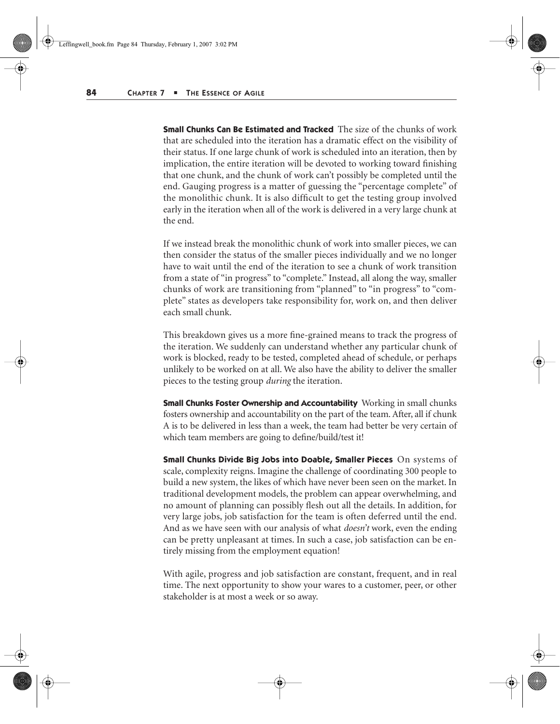**Small Chunks Can Be Estimated and Tracked** The size of the chunks of work that are scheduled into the iteration has a dramatic effect on the visibility of their status. If one large chunk of work is scheduled into an iteration, then by implication, the entire iteration will be devoted to working toward finishing that one chunk, and the chunk of work can't possibly be completed until the end. Gauging progress is a matter of guessing the "percentage complete" of the monolithic chunk. It is also difficult to get the testing group involved early in the iteration when all of the work is delivered in a very large chunk at the end.

If we instead break the monolithic chunk of work into smaller pieces, we can then consider the status of the smaller pieces individually and we no longer have to wait until the end of the iteration to see a chunk of work transition from a state of "in progress" to "complete." Instead, all along the way, smaller chunks of work are transitioning from "planned" to "in progress" to "complete" states as developers take responsibility for, work on, and then deliver each small chunk.

This breakdown gives us a more fine-grained means to track the progress of the iteration. We suddenly can understand whether any particular chunk of work is blocked, ready to be tested, completed ahead of schedule, or perhaps unlikely to be worked on at all. We also have the ability to deliver the smaller pieces to the testing group *during* the iteration.

**Small Chunks Foster Ownership and Accountability** Working in small chunks fosters ownership and accountability on the part of the team. After, all if chunk A is to be delivered in less than a week, the team had better be very certain of which team members are going to define/build/test it!

**Small Chunks Divide Big Jobs into Doable, Smaller Pieces** On systems of scale, complexity reigns. Imagine the challenge of coordinating 300 people to build a new system, the likes of which have never been seen on the market. In traditional development models, the problem can appear overwhelming, and no amount of planning can possibly flesh out all the details. In addition, for very large jobs, job satisfaction for the team is often deferred until the end. And as we have seen with our analysis of what *doesn't* work, even the ending can be pretty unpleasant at times. In such a case, job satisfaction can be entirely missing from the employment equation!

With agile, progress and job satisfaction are constant, frequent, and in real time. The next opportunity to show your wares to a customer, peer, or other stakeholder is at most a week or so away.